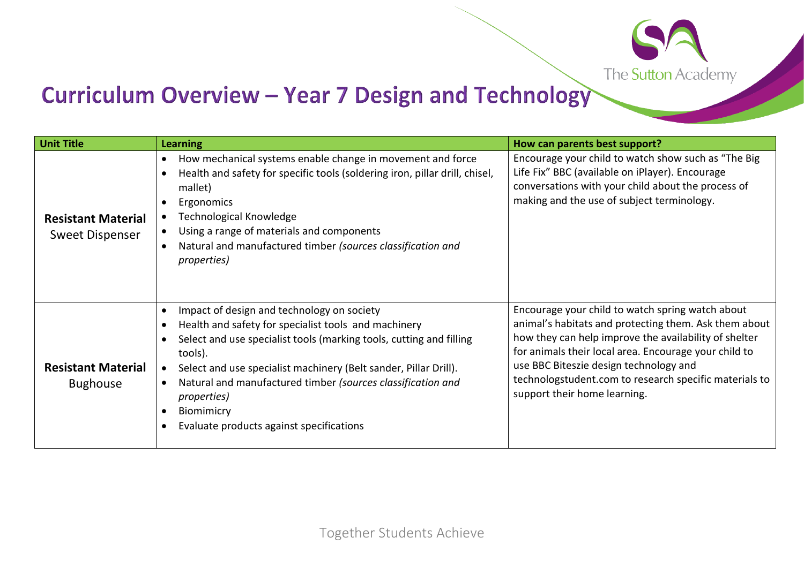The Sutton Academy

## Curriculum Overview - Year 7 Design and Technology

| <b>Unit Title</b>                            | <b>Learning</b>                                                                                                                                                                                                                                                                                                                                                                                          | How can parents best support?                                                                                                                                                                                                                                                                                                                                   |
|----------------------------------------------|----------------------------------------------------------------------------------------------------------------------------------------------------------------------------------------------------------------------------------------------------------------------------------------------------------------------------------------------------------------------------------------------------------|-----------------------------------------------------------------------------------------------------------------------------------------------------------------------------------------------------------------------------------------------------------------------------------------------------------------------------------------------------------------|
| <b>Resistant Material</b><br>Sweet Dispenser | How mechanical systems enable change in movement and force<br>Health and safety for specific tools (soldering iron, pillar drill, chisel,<br>mallet)<br>Ergonomics<br>Technological Knowledge<br>Using a range of materials and components<br>Natural and manufactured timber (sources classification and<br><i>properties</i> )                                                                         | Encourage your child to watch show such as "The Big<br>Life Fix" BBC (available on iPlayer). Encourage<br>conversations with your child about the process of<br>making and the use of subject terminology.                                                                                                                                                      |
| <b>Resistant Material</b><br><b>Bughouse</b> | Impact of design and technology on society<br>Health and safety for specialist tools and machinery<br>Select and use specialist tools (marking tools, cutting and filling<br>tools).<br>Select and use specialist machinery (Belt sander, Pillar Drill).<br>Natural and manufactured timber (sources classification and<br><i>properties</i> )<br>Biomimicry<br>Evaluate products against specifications | Encourage your child to watch spring watch about<br>animal's habitats and protecting them. Ask them about<br>how they can help improve the availability of shelter<br>for animals their local area. Encourage your child to<br>use BBC Biteszie design technology and<br>technologstudent.com to research specific materials to<br>support their home learning. |